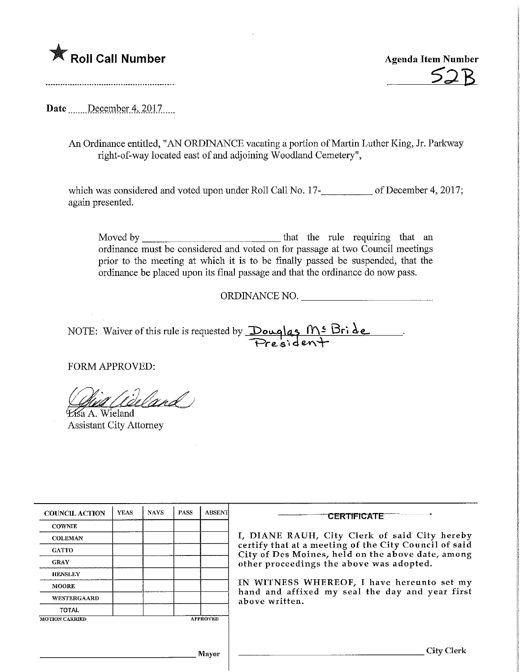

**Agenda Item Number** 

Date ......December 4, 2017.....

An Ordinance entitled, "AN ORDFNANCE vacating a portion of Martin Luther King, Jr. Parkway right-of-way located east of and adjoining Woodland Cemetery",

which was considered and voted upon under Roll Call No. 17-<br>
of December 4, 2017; again presented.

Moved by that the rule requiring that an ordinance must be considered and voted on for passage at two Council meetings prior to the meeting at which it is to be finally passed be suspended, that the ordinance be placed upon its final passage and that the ordinance do now pass.

ORDINANCE NO.

NOTE: Waiver of this rule is requested by  $\Delta \sim 1 \text{N}^{\text{S}}$   $\Delta e$  $Pre$ sident

FORM APPROVED:

Wand ^6aA.Wieland

Assistant City Attorney

| <b>COUNCIL ACTION</b> | <b>YEAS</b> | <b>NAYS</b> | <b>PASS</b> | <b>ABSENT</b>   | <b>CERTIFICATE</b>                                                                                                                                                                                      |  |  |
|-----------------------|-------------|-------------|-------------|-----------------|---------------------------------------------------------------------------------------------------------------------------------------------------------------------------------------------------------|--|--|
| <b>COWNIE</b>         |             |             |             |                 |                                                                                                                                                                                                         |  |  |
| <b>COLEMAN</b>        |             |             |             |                 | I, DIANE RAUH, City Clerk of said City hereby<br>certify that at a meeting of the City Council of said<br>City of Des Moines, held on the above date, among<br>other proceedings the above was adopted. |  |  |
| <b>GATTO</b>          |             |             |             |                 |                                                                                                                                                                                                         |  |  |
| <b>GRAY</b>           |             |             |             |                 |                                                                                                                                                                                                         |  |  |
| <b>HENSLEY</b>        |             |             |             |                 |                                                                                                                                                                                                         |  |  |
| <b>MOORE</b>          |             |             |             |                 | IN WITNESS WHEREOF, I have hereunto set my<br>hand and affixed my seal the day and year first<br>above written.                                                                                         |  |  |
| <b>WESTERGAARD</b>    |             |             |             |                 |                                                                                                                                                                                                         |  |  |
| <b>TOTAL</b>          |             |             |             |                 |                                                                                                                                                                                                         |  |  |
| <b>MOTION CARRIED</b> |             |             |             | <b>APPROVED</b> |                                                                                                                                                                                                         |  |  |
|                       |             |             |             |                 |                                                                                                                                                                                                         |  |  |
|                       |             |             |             | <b>Mayor</b>    | City                                                                                                                                                                                                    |  |  |